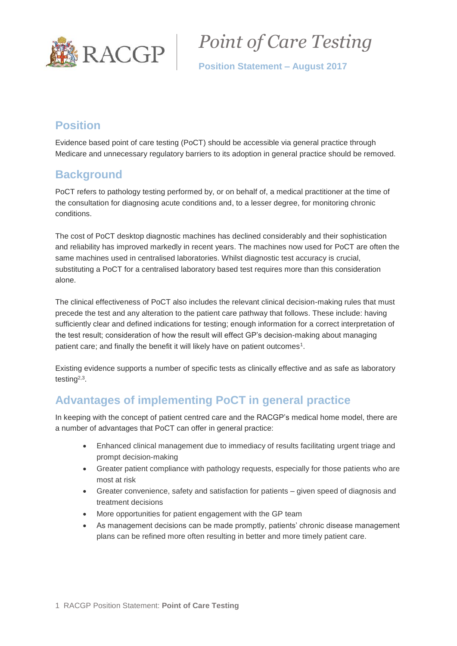

*Point of Care Testing*

**Position Statement – August 2017**

# **Position**

Evidence based point of care testing (PoCT) should be accessible via general practice through Medicare and unnecessary regulatory barriers to its adoption in general practice should be removed.

# **Background**

PoCT refers to pathology testing performed by, or on behalf of, a medical practitioner at the time of the consultation for diagnosing acute conditions and, to a lesser degree, for monitoring chronic conditions.

The cost of PoCT desktop diagnostic machines has declined considerably and their sophistication and reliability has improved markedly in recent years. The machines now used for PoCT are often the same machines used in centralised laboratories. Whilst diagnostic test accuracy is crucial, substituting a PoCT for a centralised laboratory based test requires more than this consideration alone.

The clinical effectiveness of PoCT also includes the relevant clinical decision-making rules that must precede the test and any alteration to the patient care pathway that follows. These include: having sufficiently clear and defined indications for testing; enough information for a correct interpretation of the test result; consideration of how the result will effect GP's decision-making about managing patient care; and finally the benefit it will likely have on patient outcomes<sup>1</sup>.

Existing evidence supports a number of specific tests as clinically effective and as safe as laboratory testing<sup>2,3</sup>.

# **Advantages of implementing PoCT in general practice**

In keeping with the concept of patient centred care and the RACGP's medical home model, there are a number of advantages that PoCT can offer in general practice:

- Enhanced clinical management due to immediacy of results facilitating urgent triage and prompt decision-making
- Greater patient compliance with pathology requests, especially for those patients who are most at risk
- Greater convenience, safety and satisfaction for patients given speed of diagnosis and treatment decisions
- More opportunities for patient engagement with the GP team
- As management decisions can be made promptly, patients' chronic disease management plans can be refined more often resulting in better and more timely patient care.